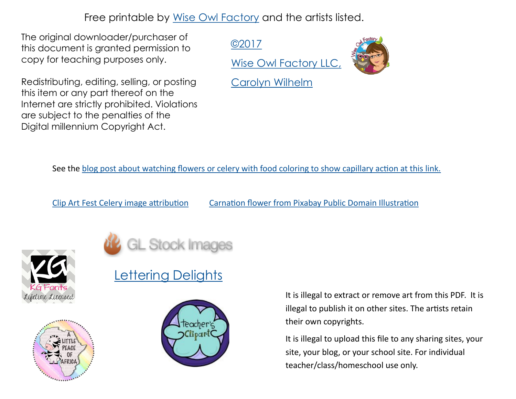Free printable by [Wise Owl Factory](http://thewiseowlfactory.com/) and the artists listed.

The original downloader/purchaser of this document is granted permission to copy for teaching purposes only.

Redistributing, editing, selling, or posting this item or any part thereof on the Internet are strictly prohibited. Violations are subject to the penalties of the Digital millennium Copyright Act.

[©2017](http://www.thewisowlfactory.com/)

[Wise Owl Factory LLC,](http://www.thewisowlfactory.com/) 



[Carolyn Wilhelm](http://www.thewisowlfactory.com/)

See the [blog post about watching flowers or celery with food coloring to show capillary action at this link.](https://www.thewiseowlfactory.com/capillary-action-plants/)

[Clip Art Fest Celery image attribution](https://clipartfest.com/) [Carnation flower from Pixabay Public Domain Illustration](https://pixabay.com/)







## **[Lettering Delights](http://www.letteringdelights.com/)**



It is illegal to extract or remove art from this PDF. It is illegal to publish it on other sites. The artists retain their own copyrights.

It is illegal to upload this file to any sharing sites, your site, your blog, or your school site. For individual teacher/class/homeschool use only.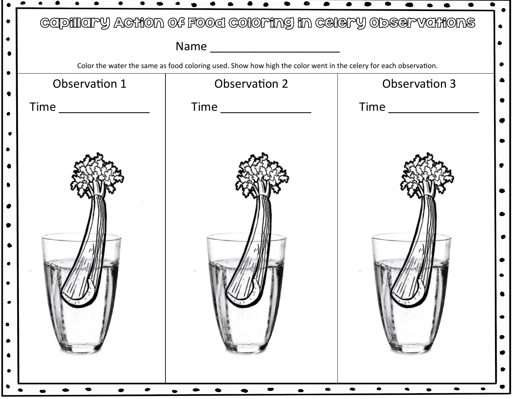